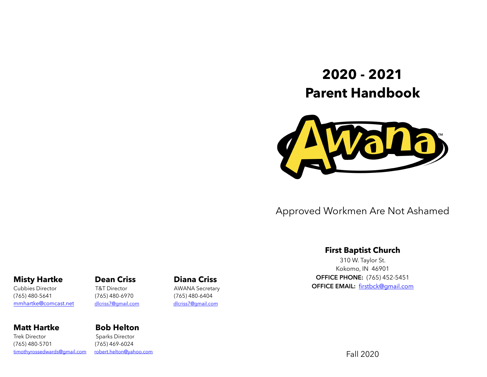# **2020 - 2021 Parent Handbook**



Approved Workmen Are Not Ashamed

#### **First Baptist Church**

310 W. Taylor St. Kokomo, IN 46901 **OFFICE PHONE:** (765) 452-5451 **OFFICE EMAIL:** [firstbck@gmail.com](mailto:firstbck@gmail.com) **Misty Hartke Dean Criss Diana Criss** 

(765) 480-5641 (765) 480-6970 (765) 480-6404 [mmhartke@comcast.net](mailto:mmhartke@comcast.net) [dlcriss7@gmail.com](mailto:dlcriss7@gmail.com) [dlcriss7@gmail.com](mailto:dlcriss7@gmail.com)

#### **Matt Hartke Bob Helton**

Trek Director Sparks Director (765) 480-5701 (765) 469-6024 [timothyrossedwards@gmail.com](mailto:timothyrossedwards@gmail.com) [robert.helton@yahoo.com](mailto:robert.helton@yahoo.com)

AWANA Secretary

Fall 2020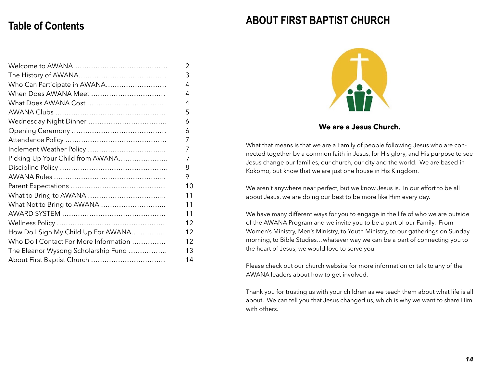#### **Table of Contents**

|                                       | 2  |
|---------------------------------------|----|
|                                       | 3  |
| Who Can Participate in AWANA          | 4  |
| When Does AWANA Meet                  | 4  |
|                                       | 4  |
|                                       | 5  |
|                                       | 6  |
|                                       | 6  |
|                                       | 7  |
|                                       | 7  |
| Picking Up Your Child from AWANA      | 7  |
|                                       | 8  |
|                                       | 9  |
|                                       | 10 |
|                                       | 11 |
| What Not to Bring to AWANA            | 11 |
|                                       | 11 |
|                                       | 12 |
| How Do I Sign My Child Up For AWANA   | 12 |
| Who Do I Contact For More Information | 12 |
| The Eleanor Wysong Scholarship Fund   | 13 |
| About First Baptist Church            | 14 |

#### **ABOUT FIRST BAPTIST CHURCH**



**We are a Jesus Church.** 

What that means is that we are a Family of people following Jesus who are connected together by a common faith in Jesus, for His glory, and His purpose to see Jesus change our families, our church, our city and the world. We are based in Kokomo, but know that we are just one house in His Kingdom.

We aren't anywhere near perfect, but we know Jesus is. In our effort to be all about Jesus, we are doing our best to be more like Him every day.

We have many different ways for you to engage in the life of who we are outside of the AWANA Program and we invite you to be a part of our Family. From Women's Ministry, Men's Ministry, to Youth Ministry, to our gatherings on Sunday morning, to Bible Studies…whatever way we can be a part of connecting you to the heart of Jesus, we would love to serve you.

Please check out our church website for more information or talk to any of the AWANA leaders about how to get involved.

Thank you for trusting us with your children as we teach them about what life is all about. We can tell you that Jesus changed us, which is why we want to share Him with others.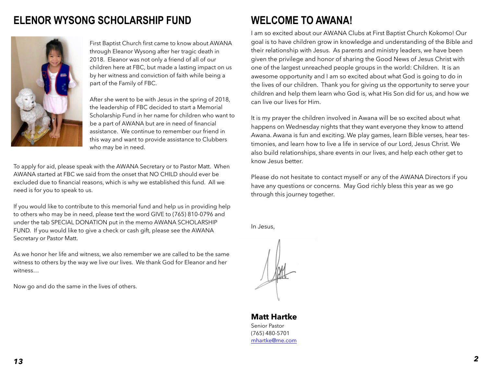#### **ELENOR WYSONG SCHOLARSHIP FUND**



First Baptist Church first came to know about AWANA through Eleanor Wysong after her tragic death in 2018. Eleanor was not only a friend of all of our children here at FBC, but made a lasting impact on us by her witness and conviction of faith while being a part of the Family of FBC.

After she went to be with Jesus in the spring of 2018, the leadership of FBC decided to start a Memorial Scholarship Fund in her name for children who want to be a part of AWANA but are in need of financial assistance. We continue to remember our friend in this way and want to provide assistance to Clubbers who may be in need.

To apply for aid, please speak with the AWANA Secretary or to Pastor Matt. When AWANA started at FBC we said from the onset that NO CHILD should ever be excluded due to financial reasons, which is why we established this fund. All we need is for you to speak to us.

If you would like to contribute to this memorial fund and help us in providing help to others who may be in need, please text the word GIVE to (765) 810-0796 and under the tab SPECIAL DONATION put in the memo AWANA SCHOLARSHIP FUND. If you would like to give a check or cash gift, please see the AWANA Secretary or Pastor Matt.

As we honor her life and witness, we also remember we are called to be the same witness to others by the way we live our lives. We thank God for Eleanor and her witness…

Now go and do the same in the lives of others.

#### **WELCOME TO AWANA!**

I am so excited about our AWANA Clubs at First Baptist Church Kokomo! Our goal is to have children grow in knowledge and understanding of the Bible and their relationship with Jesus. As parents and ministry leaders, we have been given the privilege and honor of sharing the Good News of Jesus Christ with one of the largest unreached people groups in the world: Children. It is an awesome opportunity and I am so excited about what God is going to do in the lives of our children. Thank you for giving us the opportunity to serve your children and help them learn who God is, what His Son did for us, and how we can live our lives for Him.

It is my prayer the children involved in Awana will be so excited about what happens on Wednesday nights that they want everyone they know to attend Awana. Awana is fun and exciting. We play games, learn Bible verses, hear testimonies, and learn how to live a life in service of our Lord, Jesus Christ. We also build relationships, share events in our lives, and help each other get to know Jesus better.

Please do not hesitate to contact myself or any of the AWANA Directors if you have any questions or concerns. May God richly bless this year as we go through this journey together.

In Jesus,

**Matt Hartke**  Senior Pastor (765) 480-5701 [mhartke@me.com](mailto:mhartke@me.com)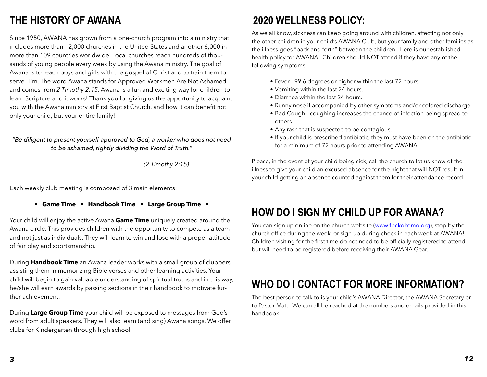### **THE HISTORY OF AWANA**

Since 1950, AWANA has grown from a one-church program into a ministry that includes more than 12,000 churches in the United States and another 6,000 in more than 109 countries worldwide. Local churches reach hundreds of thousands of young people every week by using the Awana ministry. The goal of Awana is to reach boys and girls with the gospel of Christ and to train them to serve Him. The word Awana stands for Approved Workmen Are Not Ashamed, and comes from *2 Timothy 2:15*. Awana is a fun and exciting way for children to learn Scripture and it works! Thank you for giving us the opportunity to acquaint you with the Awana ministry at First Baptist Church, and how it can benefit not only your child, but your entire family!

#### *"Be diligent to present yourself approved to God, a worker who does not need to be ashamed, rightly dividing the Word of Truth."*

 *(2 Timothy 2:15)* 

Each weekly club meeting is composed of 3 main elements:

**• Game Time • Handbook Time • Large Group Time •** 

Your child will enjoy the active Awana **Game Time** uniquely created around the Awana circle. This provides children with the opportunity to compete as a team and not just as individuals. They will learn to win and lose with a proper attitude of fair play and sportsmanship.

During **Handbook Time** an Awana leader works with a small group of clubbers, assisting them in memorizing Bible verses and other learning activities. Your child will begin to gain valuable understanding of spiritual truths and in this way, he/she will earn awards by passing sections in their handbook to motivate further achievement.

During **Large Group Time** your child will be exposed to messages from God's word from adult speakers. They will also learn (and sing) Awana songs. We offer clubs for Kindergarten through high school.

# **2020 WELLNESS POLICY:**

As we all know, sickness can keep going around with children, affecting not only the other children in your child's AWANA Club, but your family and other families as the illness goes "back and forth" between the children. Here is our established health policy for AWANA. Children should NOT attend if they have any of the following symptoms:

- Fever 99.6 degrees or higher within the last 72 hours.
- Vomiting within the last 24 hours.
- Diarrhea within the last 24 hours.
- Runny nose if accompanied by other symptoms and/or colored discharge.
- Bad Cough coughing increases the chance of infection being spread to others.
- Any rash that is suspected to be contagious.
- If your child is prescribed antibiotic, they must have been on the antibiotic for a minimum of 72 hours prior to attending AWANA.

Please, in the event of your child being sick, call the church to let us know of the illness to give your child an excused absence for the night that will NOT result in your child getting an absence counted against them for their attendance record.

# **HOW DO I SIGN MY CHILD UP FOR AWANA?**

You can sign up online on the church website [\(www.fbckokomo.org\)](http://www.fbckokomo.org), stop by the church office during the week, or sign up during check in each week at AWANA! Children visiting for the first time do not need to be officially registered to attend, but will need to be registered before receiving their AWANA Gear.

# **WHO DO I CONTACT FOR MORE INFORMATION?**

The best person to talk to is your child's AWANA Director, the AWANA Secretary or to Pastor Matt. We can all be reached at the numbers and emails provided in this handbook.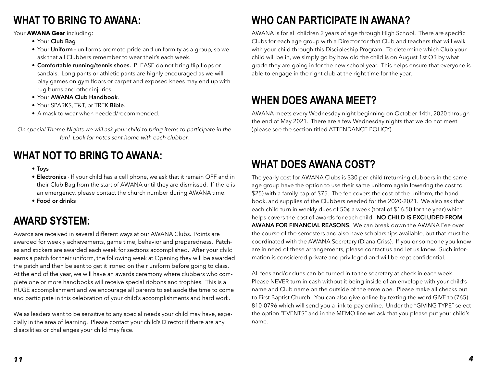### **WHAT TO BRING TO AWANA:**

Your **AWANA Gear** including:

- Your **Club Bag**
- Your **Uniform** uniforms promote pride and uniformity as a group, so we ask that all Clubbers remember to wear their's each week.
- **Comfortable running/tennis shoes.** PLEASE do not bring flip flops or sandals. Long pants or athletic pants are highly encouraged as we will play games on gym floors or carpet and exposed knees may end up with rug burns and other injuries.
- Your **AWANA Club Handbook**.
- Your SPARKS, T&T, or TREK **Bible**.
- A mask to wear when needed/recommended.

*On special Theme Nights we will ask your child to bring items to participate in the fun! Look for notes sent home with each clubber.* 

# **WHAT NOT TO BRING TO AWANA:**

- **• Toys**
- **Electronics** If your child has a cell phone, we ask that it remain OFF and in their Club Bag from the start of AWANA until they are dismissed. If there is an emergency, please contact the church number during AWANA time.
- **• Food or drinks**

# **AWARD SYSTEM:**

Awards are received in several different ways at our AWANA Clubs. Points are awarded for weekly achievements, game time, behavior and preparedness. Patches and stickers are awarded each week for sections accomplished. After your child earns a patch for their uniform, the following week at Opening they will be awarded the patch and then be sent to get it ironed on their uniform before going to class. At the end of the year, we will have an awards ceremony where clubbers who complete one or more handbooks will receive special ribbons and trophies. This is a HUGE accomplishment and we encourage all parents to set aside the time to come and participate in this celebration of your child's accomplishments and hard work.

We as leaders want to be sensitive to any special needs your child may have, especially in the area of learning. Please contact your child's Director if there are any disabilities or challenges your child may face.

# **WHO CAN PARTICIPATE IN AWANA?**

AWANA is for all children 2 years of age through High School. There are specific Clubs for each age group with a Director for that Club and teachers that will walk with your child through this Discipleship Program. To determine which Club your child will be in, we simply go by how old the child is on August 1st OR by what grade they are going in for the new school year. This helps ensure that everyone is able to engage in the right club at the right time for the year.

### **WHEN DOES AWANA MEET?**

AWANA meets every Wednesday night beginning on October 14th, 2020 through the end of May 2021. There are a few Wednesday nights that we do not meet (please see the section titled ATTENDANCE POLICY).

# **WHAT DOES AWANA COST?**

The yearly cost for AWANA Clubs is \$30 per child (returning clubbers in the same age group have the option to use their same uniform again lowering the cost to \$25) with a family cap of \$75. The fee covers the cost of the uniform, the handbook, and supplies of the Clubbers needed for the 2020-2021. We also ask that each child turn in weekly dues of 50¢ a week (total of \$16.50 for the year) which helps covers the cost of awards for each child. **NO CHILD IS EXCLUDED FROM AWANA FOR FINANCIAL REASONS**. We can break down the AWANA Fee over the course of the semesters and also have scholarships available, but that must be coordinated with the AWANA Secretary (Diana Criss). If you or someone you know are in need of these arrangements, please contact us and let us know. Such information is considered private and privileged and will be kept confidential.

All fees and/or dues can be turned in to the secretary at check in each week. Please NEVER turn in cash without it being inside of an envelope with your child's name and Club name on the outside of the envelope. Please make all checks out to First Baptist Church. You can also give online by texting the word GIVE to (765) 810-0796 which will send you a link to pay online. Under the "GIVING TYPE" select the option "EVENTS" and in the MEMO line we ask that you please put your child's name.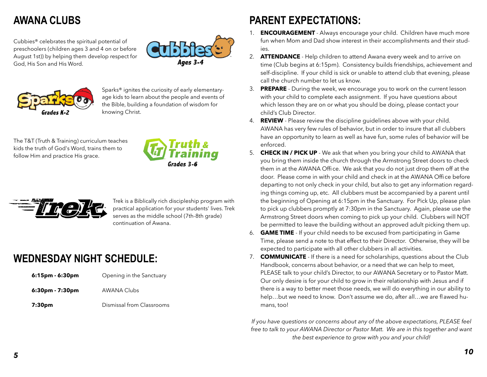### **AWANA CLUBS**

Cubbies® celebrates the spiritual potential of preschoolers (children ages 3 and 4 on or before August 1st)) by helping them develop respect for God, His Son and His Word.





Sparks® ignites the curiosity of early elementaryage kids to learn about the people and events of the Bible, building a foundation of wisdom for knowing Christ.

The T&T (Truth & Training) curriculum teaches kids the truth of God's Word, trains them to follow Him and practice His grace.





Trek is a Biblically rich discipleship program with practical application for your students' lives. Trek serves as the middle school (7th-8th grade) continuation of Awana.

# **WEDNESDAY NIGHT SCHEDULE:**

| $6:15$ pm - $6:30$ pm | Opening in the Sanctuary  |
|-----------------------|---------------------------|
| $6:30pm - 7:30pm$     | <b>AWANA Clubs</b>        |
| 7:30pm                | Dismissal from Classrooms |

### **PARENT EXPECTATIONS:**

- 1. **ENCOURAGEMENT**  Always encourage your child. Children have much more fun when Mom and Dad show interest in their accomplishments and their studies.
- 2. **ATTENDANCE** Help children to attend Awana every week and to arrive on time (Club begins at 6:15pm). Consistency builds friendships, achievement and self-discipline. If your child is sick or unable to attend club that evening, please call the church number to let us know.
- 3. **PREPARE** During the week, we encourage you to work on the current lesson with your child to complete each assignment. If you have questions about which lesson they are on or what you should be doing, please contact your child's Club Director.
- 4. **REVIEW** Please review the discipline guidelines above with your child. AWANA has very few rules of behavior, but in order to insure that all clubbers have an opportunity to learn as well as have fun, some rules of behavior will be enforced.
- 5. **CHECK IN / PICK UP** We ask that when you bring your child to AWANA that you bring them inside the church through the Armstrong Street doors to check them in at the AWANA Office. We ask that you do not just drop them off at the door. Please come in with your child and check in at the AWANA Office before departing to not only check in your child, but also to get any information regarding things coming up, etc. All clubbers must be accompanied by a parent until the beginning of Opening at 6:15pm in the Sanctuary. For Pick Up, please plan to pick up clubbers promptly at 7:30pm in the Sanctuary. Again, please use the Armstrong Street doors when coming to pick up your child. Clubbers will NOT be permitted to leave the building without an approved adult picking them up.
- 6. **GAME TIME** If your child needs to be excused from participating in Game Time, please send a note to that effect to their Director. Otherwise, they will be expected to participate with all other clubbers in all activities.
- 7. **COMMUNICATE** If there is a need for scholarships, questions about the Club Handbook, concerns about behavior, or a need that we can help to meet, PLEASE talk to your child's Director, to our AWANA Secretary or to Pastor Matt. Our only desire is for your child to grow in their relationship with Jesus and if there is a way to better meet those needs, we will do everything in our ability to help…but we need to know. Don't assume we do, after all…we are flawed humans, too!

*If you have questions or concerns about any of the above expectations, PLEASE feel free to talk to your AWANA Director or Pastor Matt. We are in this together and want the best experience to grow with you and your child!*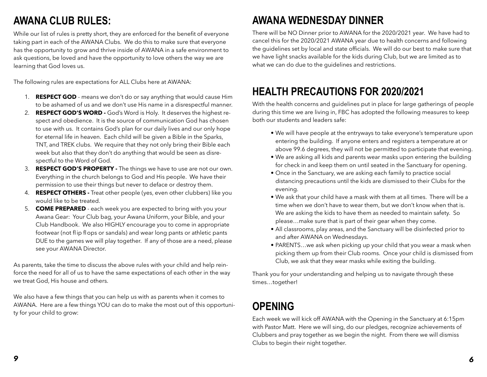# **AWANA CLUB RULES:**

While our list of rules is pretty short, they are enforced for the benefit of everyone taking part in each of the AWANA Clubs. We do this to make sure that everyone has the opportunity to grow and thrive inside of AWANA in a safe environment to ask questions, be loved and have the opportunity to love others the way we are learning that God loves us.

The following rules are expectations for ALL Clubs here at AWANA:

- 1. **RESPECT GOD**  means we don't do or say anything that would cause Him to be ashamed of us and we don't use His name in a disrespectful manner.
- 2. **RESPECT GOD'S WORD -** God's Word is Holy. It deserves the highest respect and obedience. It is the source of communication God has chosen to use with us. It contains God's plan for our daily lives and our only hope for eternal life in heaven. Each child will be given a Bible in the Sparks, TNT, and TREK clubs. We require that they not only bring their Bible each week but also that they don't do anything that would be seen as disrespectful to the Word of God.
- 3. **RESPECT GOD'S PROPERTY** The things we have to use are not our own. Everything in the church belongs to God and His people. We have their permission to use their things but never to deface or destroy them.
- 4. **RESPECT OTHERS -** Treat other people (yes, even other clubbers) like you would like to be treated.
- 5. **COME PREPARED** each week you are expected to bring with you your Awana Gear: Your Club bag, your Awana Uniform, your Bible, and your Club Handbook. We also HIGHLY encourage you to come in appropriate footwear (not flip flops or sandals) and wear long pants or athletic pants DUE to the games we will play together. If any of those are a need, please see your AWANA Director.

As parents, take the time to discuss the above rules with your child and help reinforce the need for all of us to have the same expectations of each other in the way we treat God, His house and others.

We also have a few things that you can help us with as parents when it comes to AWANA. Here are a few things YOU can do to make the most out of this opportunity for your child to grow:

# **AWANA WEDNESDAY DINNER**

There will be NO Dinner prior to AWANA for the 2020/2021 year. We have had to cancel this for the 2020/2021 AWANA year due to health concerns and following the guidelines set by local and state officials. We will do our best to make sure that we have light snacks available for the kids during Club, but we are limited as to what we can do due to the guidelines and restrictions.

# **HEALTH PRECAUTIONS FOR 2020/2021**

With the health concerns and guidelines put in place for large gatherings of people during this time we are living in, FBC has adopted the following measures to keep both our students and leaders safe:

- We will have people at the entryways to take everyone's temperature upon entering the building. If anyone enters and registers a temperature at or above 99.6 degrees, they will not be permitted to participate that evening.
- We are asking all kids and parents wear masks upon entering the building for check in and keep them on until seated in the Sanctuary for opening.
- Once in the Sanctuary, we are asking each family to practice social distancing precautions until the kids are dismissed to their Clubs for the evening.
- We ask that your child have a mask with them at all times. There will be a time when we don't have to wear them, but we don't know when that is. We are asking the kids to have them as needed to maintain safety. So please…make sure that is part of their gear when they come.
- All classrooms, play areas, and the Sanctuary will be disinfected prior to and after AWANA on Wednesdays.
- PARENTS…we ask when picking up your child that you wear a mask when picking them up from their Club rooms. Once your child is dismissed from Club, we ask that they wear masks while exiting the building.

Thank you for your understanding and helping us to navigate through these times…together!

# **OPENING**

Each week we will kick off AWANA with the Opening in the Sanctuary at 6:15pm with Pastor Matt. Here we will sing, do our pledges, recognize achievements of Clubbers and pray together as we begin the night. From there we will dismiss Clubs to begin their night together.